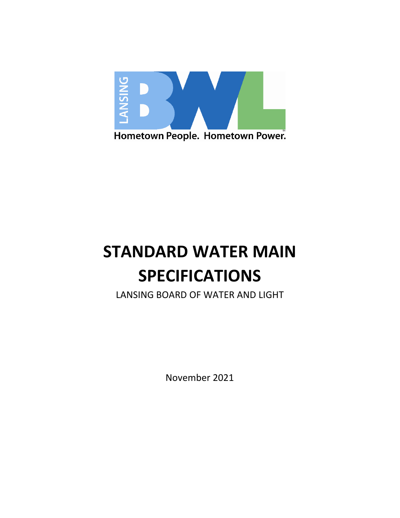

# **STANDARD WATER MAIN SPECIFICATIONS**

LANSING BOARD OF WATER AND LIGHT

November 2021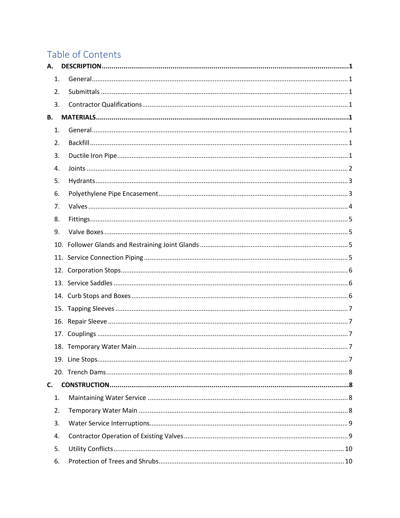# Table of Contents

| А. |  |
|----|--|
| 1. |  |
| 2. |  |
| 3. |  |
| В. |  |
| 1. |  |
| 2. |  |
| 3. |  |
| 4. |  |
| 5. |  |
| 6. |  |
| 7. |  |
| 8. |  |
| 9. |  |
|    |  |
|    |  |
|    |  |
|    |  |
|    |  |
|    |  |
|    |  |
|    |  |
|    |  |
|    |  |
|    |  |
| C. |  |
| 1. |  |
| 2. |  |
| 3. |  |
| 4. |  |
| 5. |  |
| 6. |  |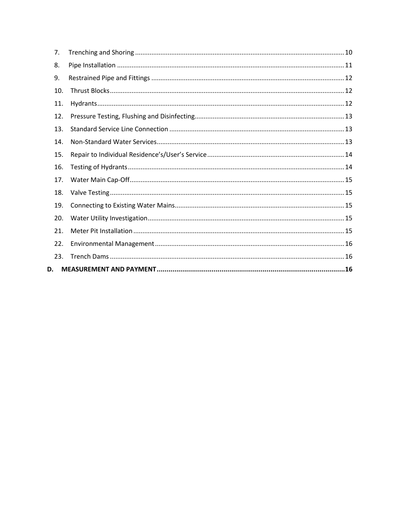| 7.  |  |
|-----|--|
| 8.  |  |
| 9.  |  |
| 10. |  |
| 11. |  |
| 12. |  |
| 13. |  |
| 14. |  |
| 15. |  |
| 16. |  |
| 17. |  |
| 18. |  |
| 19. |  |
| 20. |  |
| 21. |  |
| 22. |  |
| 23. |  |
| D.  |  |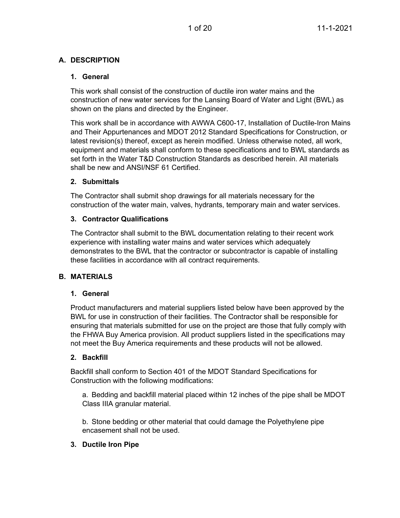# <span id="page-3-1"></span><span id="page-3-0"></span>**A. DESCRIPTION**

# **1. General**

This work shall consist of the construction of ductile iron water mains and the construction of new water services for the Lansing Board of Water and Light (BWL) as shown on the plans and directed by the Engineer.

This work shall be in accordance with AWWA C600-17, Installation of Ductile-Iron Mains and Their Appurtenances and MDOT 2012 Standard Specifications for Construction, or latest revision(s) thereof, except as herein modified. Unless otherwise noted, all work, equipment and materials shall conform to these specifications and to BWL standards as set forth in the Water T&D Construction Standards as described herein. All materials shall be new and ANSI/NSF 61 Certified.

# <span id="page-3-2"></span>**2. Submittals**

The Contractor shall submit shop drawings for all materials necessary for the construction of the water main, valves, hydrants, temporary main and water services.

# <span id="page-3-3"></span>**3. Contractor Qualifications**

The Contractor shall submit to the BWL documentation relating to their recent work experience with installing water mains and water services which adequately demonstrates to the BWL that the contractor or subcontractor is capable of installing these facilities in accordance with all contract requirements.

# <span id="page-3-5"></span><span id="page-3-4"></span>**B. MATERIALS**

# **1. General**

Product manufacturers and material suppliers listed below have been approved by the BWL for use in construction of their facilities. The Contractor shall be responsible for ensuring that materials submitted for use on the project are those that fully comply with the FHWA Buy America provision. All product suppliers listed in the specifications may not meet the Buy America requirements and these products will not be allowed.

# <span id="page-3-6"></span>**2. Backfill**

Backfill shall conform to Section 401 of the MDOT Standard Specifications for Construction with the following modifications:

a. Bedding and backfill material placed within 12 inches of the pipe shall be MDOT Class IIIA granular material.

b. Stone bedding or other material that could damage the Polyethylene pipe encasement shall not be used.

# <span id="page-3-7"></span>**3. Ductile Iron Pipe**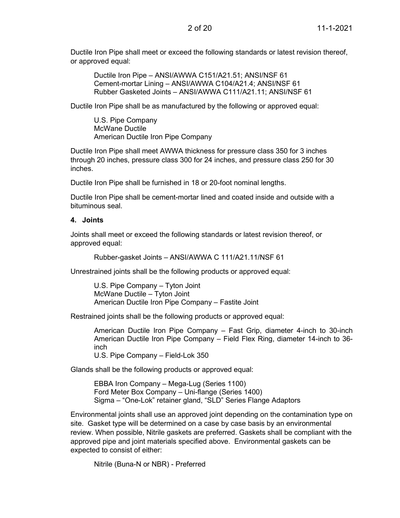Ductile Iron Pipe shall meet or exceed the following standards or latest revision thereof, or approved equal:

Ductile Iron Pipe – ANSI/AWWA C151/A21.51; ANSI/NSF 61 Cement-mortar Lining – ANSI/AWWA C104/A21.4; ANSI/NSF 61 Rubber Gasketed Joints – ANSI/AWWA C111/A21.11; ANSI/NSF 61

Ductile Iron Pipe shall be as manufactured by the following or approved equal:

U.S. Pipe Company McWane Ductile American Ductile Iron Pipe Company

Ductile Iron Pipe shall meet AWWA thickness for pressure class 350 for 3 inches through 20 inches, pressure class 300 for 24 inches, and pressure class 250 for 30 inches.

Ductile Iron Pipe shall be furnished in 18 or 20-foot nominal lengths.

Ductile Iron Pipe shall be cement-mortar lined and coated inside and outside with a bituminous seal.

#### <span id="page-4-0"></span>**4. Joints**

Joints shall meet or exceed the following standards or latest revision thereof, or approved equal:

Rubber-gasket Joints – ANSI/AWWA C 111/A21.11/NSF 61

Unrestrained joints shall be the following products or approved equal:

U.S. Pipe Company – Tyton Joint McWane Ductile – Tyton Joint American Ductile Iron Pipe Company – Fastite Joint

Restrained joints shall be the following products or approved equal:

American Ductile Iron Pipe Company – Fast Grip, diameter 4-inch to 30-inch American Ductile Iron Pipe Company – Field Flex Ring, diameter 14-inch to 36 inch U.S. Pipe Company – Field-Lok 350

Glands shall be the following products or approved equal:

EBBA Iron Company – Mega-Lug (Series 1100) Ford Meter Box Company – Uni-flange (Series 1400) Sigma – "One-Lok" retainer gland, "SLD" Series Flange Adaptors

Environmental joints shall use an approved joint depending on the contamination type on site. Gasket type will be determined on a case by case basis by an environmental review. When possible, Nitrile gaskets are preferred. Gaskets shall be compliant with the approved pipe and joint materials specified above. Environmental gaskets can be expected to consist of either:

Nitrile (Buna-N or NBR) - Preferred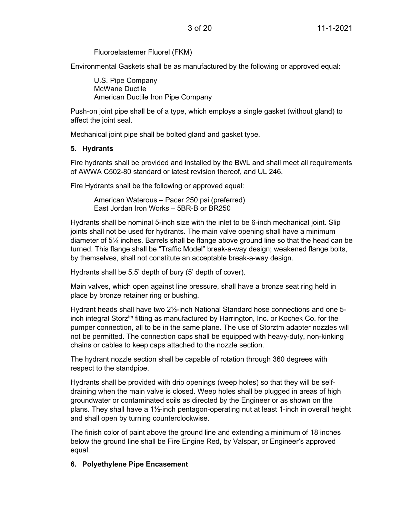Fluoroelastemer Fluorel (FKM)

Environmental Gaskets shall be as manufactured by the following or approved equal:

U.S. Pipe Company McWane Ductile American Ductile Iron Pipe Company

Push-on joint pipe shall be of a type, which employs a single gasket (without gland) to affect the joint seal.

Mechanical joint pipe shall be bolted gland and gasket type.

# <span id="page-5-0"></span>**5. Hydrants**

Fire hydrants shall be provided and installed by the BWL and shall meet all requirements of AWWA C502-80 standard or latest revision thereof, and UL 246.

Fire Hydrants shall be the following or approved equal:

American Waterous – Pacer 250 psi (preferred) East Jordan Iron Works – 5BR-B or BR250

Hydrants shall be nominal 5-inch size with the inlet to be 6-inch mechanical joint. Slip joints shall not be used for hydrants. The main valve opening shall have a minimum diameter of 5¼ inches. Barrels shall be flange above ground line so that the head can be turned. This flange shall be "Traffic Model" break-a-way design; weakened flange bolts, by themselves, shall not constitute an acceptable break-a-way design.

Hydrants shall be 5.5' depth of bury (5' depth of cover).

Main valves, which open against line pressure, shall have a bronze seat ring held in place by bronze retainer ring or bushing.

Hydrant heads shall have two 2½-inch National Standard hose connections and one 5 inch integral Storz<sup>tm</sup> fitting as manufactured by Harrington, Inc. or Kochek Co. for the pumper connection, all to be in the same plane. The use of Storztm adapter nozzles will not be permitted. The connection caps shall be equipped with heavy-duty, non-kinking chains or cables to keep caps attached to the nozzle section.

The hydrant nozzle section shall be capable of rotation through 360 degrees with respect to the standpipe.

Hydrants shall be provided with drip openings (weep holes) so that they will be selfdraining when the main valve is closed. Weep holes shall be plugged in areas of high groundwater or contaminated soils as directed by the Engineer or as shown on the plans. They shall have a 1½-inch pentagon-operating nut at least 1-inch in overall height and shall open by turning counterclockwise.

The finish color of paint above the ground line and extending a minimum of 18 inches below the ground line shall be Fire Engine Red, by Valspar, or Engineer's approved equal.

# <span id="page-5-1"></span>**6. Polyethylene Pipe Encasement**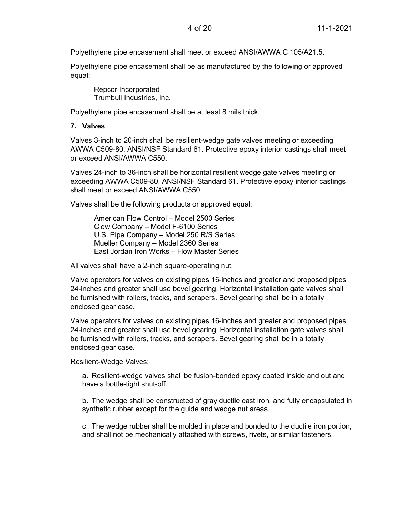Polyethylene pipe encasement shall meet or exceed ANSI/AWWA C 105/A21.5.

Polyethylene pipe encasement shall be as manufactured by the following or approved equal:

Repcor Incorporated Trumbull Industries, Inc.

Polyethylene pipe encasement shall be at least 8 mils thick.

#### <span id="page-6-0"></span>**7. Valves**

Valves 3-inch to 20-inch shall be resilient-wedge gate valves meeting or exceeding AWWA C509-80, ANSI/NSF Standard 61. Protective epoxy interior castings shall meet or exceed ANSI/AWWA C550.

Valves 24-inch to 36-inch shall be horizontal resilient wedge gate valves meeting or exceeding AWWA C509-80, ANSI/NSF Standard 61. Protective epoxy interior castings shall meet or exceed ANSI/AWWA C550.

Valves shall be the following products or approved equal:

American Flow Control – Model 2500 Series Clow Company – Model F-6100 Series U.S. Pipe Company – Model 250 R/S Series Mueller Company – Model 2360 Series East Jordan Iron Works – Flow Master Series

All valves shall have a 2-inch square-operating nut.

Valve operators for valves on existing pipes 16-inches and greater and proposed pipes 24-inches and greater shall use bevel gearing. Horizontal installation gate valves shall be furnished with rollers, tracks, and scrapers. Bevel gearing shall be in a totally enclosed gear case.

Valve operators for valves on existing pipes 16-inches and greater and proposed pipes 24-inches and greater shall use bevel gearing. Horizontal installation gate valves shall be furnished with rollers, tracks, and scrapers. Bevel gearing shall be in a totally enclosed gear case.

Resilient-Wedge Valves:

a. Resilient-wedge valves shall be fusion-bonded epoxy coated inside and out and have a bottle-tight shut-off.

b. The wedge shall be constructed of gray ductile cast iron, and fully encapsulated in synthetic rubber except for the guide and wedge nut areas.

c. The wedge rubber shall be molded in place and bonded to the ductile iron portion, and shall not be mechanically attached with screws, rivets, or similar fasteners.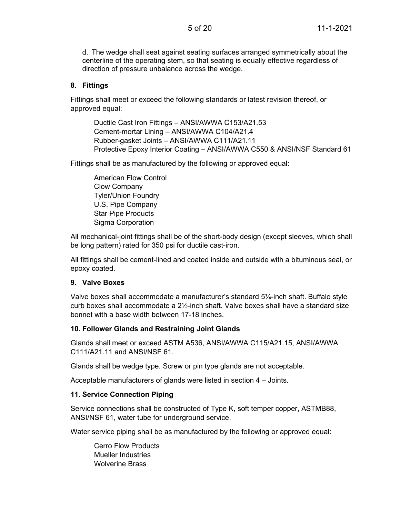d. The wedge shall seat against seating surfaces arranged symmetrically about the centerline of the operating stem, so that seating is equally effective regardless of direction of pressure unbalance across the wedge.

#### <span id="page-7-0"></span>**8. Fittings**

Fittings shall meet or exceed the following standards or latest revision thereof, or approved equal:

Ductile Cast Iron Fittings – ANSI/AWWA C153/A21.53 Cement-mortar Lining – ANSI/AWWA C104/A21.4 Rubber-gasket Joints – ANSI/AWWA C111/A21.11 Protective Epoxy Interior Coating – ANSI/AWWA C550 & ANSI/NSF Standard 61

Fittings shall be as manufactured by the following or approved equal:

American Flow Control Clow Company Tyler/Union Foundry U.S. Pipe Company Star Pipe Products Sigma Corporation

All mechanical-joint fittings shall be of the short-body design (except sleeves, which shall be long pattern) rated for 350 psi for ductile cast-iron.

All fittings shall be cement-lined and coated inside and outside with a bituminous seal, or epoxy coated.

#### <span id="page-7-1"></span>**9. Valve Boxes**

Valve boxes shall accommodate a manufacturer's standard 5¼-inch shaft. Buffalo style curb boxes shall accommodate a 2½-inch shaft. Valve boxes shall have a standard size bonnet with a base width between 17-18 inches.

#### <span id="page-7-2"></span>**10. Follower Glands and Restraining Joint Glands**

Glands shall meet or exceed ASTM A536, ANSI/AWWA C115/A21.15, ANSI/AWWA C111/A21.11 and ANSI/NSF 61.

Glands shall be wedge type. Screw or pin type glands are not acceptable.

Acceptable manufacturers of glands were listed in section 4 – Joints.

#### <span id="page-7-3"></span>**11. Service Connection Piping**

Service connections shall be constructed of Type K, soft temper copper, ASTMB88, ANSI/NSF 61, water tube for underground service.

Water service piping shall be as manufactured by the following or approved equal:

Cerro Flow Products Mueller Industries Wolverine Brass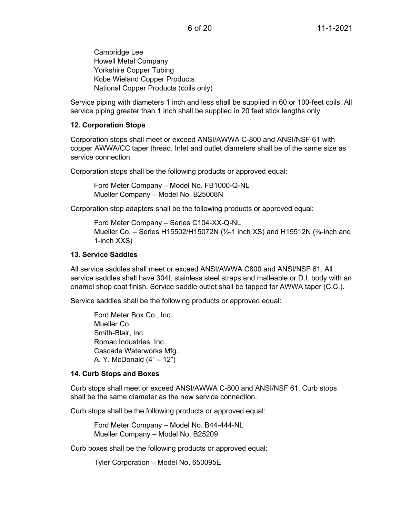Cambridge Lee Howell Metal Company Yorkshire Copper Tubing Kobe Wieland Copper Products National Copper Products (coils only)

Service piping with diameters 1 inch and less shall be supplied in 60 or 100-feet coils. All service piping greater than 1 inch shall be supplied in 20 feet stick lengths only.

#### <span id="page-8-0"></span>**12. Corporation Stops**

Corporation stops shall meet or exceed ANSI/AWWA C-800 and ANSI/NSF 61 with copper AWWA/CC taper thread. Inlet and outlet diameters shall be of the same size as service connection.

Corporation stops shall be the following products or approved equal:

Ford Meter Company – Model No. FB1000-Q-NL Mueller Company – Model No. B25008N

Corporation stop adapters shall be the following products or approved equal:

Ford Meter Company – Series C104-XX-Q-NL Mueller Co. – Series H15502/H15072N ( $\frac{1}{2}$ -1 inch XS) and H15512N ( $\frac{3}{4}$ -inch and 1-inch XXS)

#### <span id="page-8-1"></span>**13. Service Saddles**

All service saddles shall meet or exceed ANSI/AWWA C800 and ANSI/NSF 61. All service saddles shall have 304L stainless steel straps and malleable or D.I. body with an enamel shop coat finish. Service saddle outlet shall be tapped for AWWA taper (C.C.).

Service saddles shall be the following products or approved equal:

Ford Meter Box Co., Inc. Mueller Co. Smith-Blair, Inc. Romac Industries, Inc. Cascade Waterworks Mfg. A. Y. McDonald (4" – 12")

# <span id="page-8-2"></span>**14. Curb Stops and Boxes**

Curb stops shall meet or exceed ANSI/AWWA C-800 and ANSI/NSF 61. Curb stops shall be the same diameter as the new service connection.

Curb stops shall be the following products or approved equal:

Ford Meter Company – Model No. B44-444-NL Mueller Company – Model No. B25209

Curb boxes shall be the following products or approved equal:

Tyler Corporation – Model No. 650095E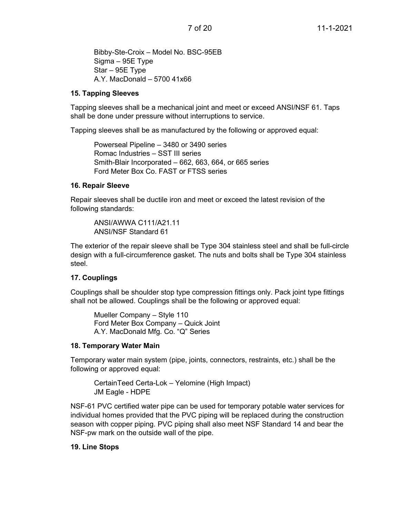Bibby-Ste-Croix – Model No. BSC-95EB Sigma – 95E Type Star – 95E Type A.Y. MacDonald – 5700 41x66

#### <span id="page-9-0"></span>**15. Tapping Sleeves**

Tapping sleeves shall be a mechanical joint and meet or exceed ANSI/NSF 61. Taps shall be done under pressure without interruptions to service.

Tapping sleeves shall be as manufactured by the following or approved equal:

Powerseal Pipeline – 3480 or 3490 series Romac Industries – SST III series Smith-Blair Incorporated – 662, 663, 664, or 665 series Ford Meter Box Co. FAST or FTSS series

#### <span id="page-9-1"></span>**16. Repair Sleeve**

Repair sleeves shall be ductile iron and meet or exceed the latest revision of the following standards:

ANSI/AWWA C111/A21.11 ANSI/NSF Standard 61

The exterior of the repair sleeve shall be Type 304 stainless steel and shall be full-circle design with a full-circumference gasket. The nuts and bolts shall be Type 304 stainless steel.

# <span id="page-9-2"></span>**17. Couplings**

Couplings shall be shoulder stop type compression fittings only. Pack joint type fittings shall not be allowed. Couplings shall be the following or approved equal:

Mueller Company – Style 110 Ford Meter Box Company – Quick Joint A.Y. MacDonald Mfg. Co. "Q" Series

# <span id="page-9-3"></span>**18. Temporary Water Main**

Temporary water main system (pipe, joints, connectors, restraints, etc.) shall be the following or approved equal:

CertainTeed Certa-Lok – Yelomine (High Impact) JM Eagle - HDPE

NSF-61 PVC certified water pipe can be used for temporary potable water services for individual homes provided that the PVC piping will be replaced during the construction season with copper piping. PVC piping shall also meet NSF Standard 14 and bear the NSF-pw mark on the outside wall of the pipe.

# <span id="page-9-4"></span>**19. Line Stops**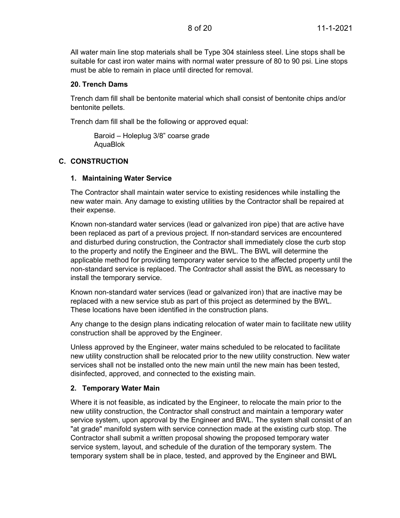All water main line stop materials shall be Type 304 stainless steel. Line stops shall be suitable for cast iron water mains with normal water pressure of 80 to 90 psi. Line stops must be able to remain in place until directed for removal.

#### <span id="page-10-0"></span>**20. Trench Dams**

Trench dam fill shall be bentonite material which shall consist of bentonite chips and/or bentonite pellets.

Trench dam fill shall be the following or approved equal:

Baroid – Holeplug 3/8" coarse grade AquaBlok

# <span id="page-10-2"></span><span id="page-10-1"></span>**C. CONSTRUCTION**

#### **1. Maintaining Water Service**

The Contractor shall maintain water service to existing residences while installing the new water main. Any damage to existing utilities by the Contractor shall be repaired at their expense.

Known non-standard water services (lead or galvanized iron pipe) that are active have been replaced as part of a previous project. If non-standard services are encountered and disturbed during construction, the Contractor shall immediately close the curb stop to the property and notify the Engineer and the BWL. The BWL will determine the applicable method for providing temporary water service to the affected property until the non-standard service is replaced. The Contractor shall assist the BWL as necessary to install the temporary service.

Known non-standard water services (lead or galvanized iron) that are inactive may be replaced with a new service stub as part of this project as determined by the BWL. These locations have been identified in the construction plans.

Any change to the design plans indicating relocation of water main to facilitate new utility construction shall be approved by the Engineer.

Unless approved by the Engineer, water mains scheduled to be relocated to facilitate new utility construction shall be relocated prior to the new utility construction. New water services shall not be installed onto the new main until the new main has been tested, disinfected, approved, and connected to the existing main.

# <span id="page-10-3"></span>**2. Temporary Water Main**

Where it is not feasible, as indicated by the Engineer, to relocate the main prior to the new utility construction, the Contractor shall construct and maintain a temporary water service system, upon approval by the Engineer and BWL. The system shall consist of an "at grade" manifold system with service connection made at the existing curb stop. The Contractor shall submit a written proposal showing the proposed temporary water service system, layout, and schedule of the duration of the temporary system. The temporary system shall be in place, tested, and approved by the Engineer and BWL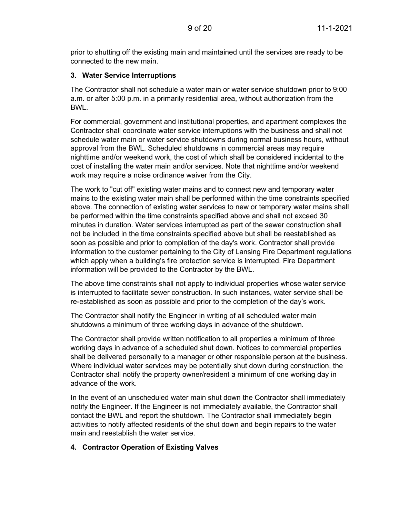prior to shutting off the existing main and maintained until the services are ready to be connected to the new main.

#### <span id="page-11-0"></span>**3. Water Service Interruptions**

The Contractor shall not schedule a water main or water service shutdown prior to 9:00 a.m. or after 5:00 p.m. in a primarily residential area, without authorization from the BWL.

For commercial, government and institutional properties, and apartment complexes the Contractor shall coordinate water service interruptions with the business and shall not schedule water main or water service shutdowns during normal business hours, without approval from the BWL. Scheduled shutdowns in commercial areas may require nighttime and/or weekend work, the cost of which shall be considered incidental to the cost of installing the water main and/or services. Note that nighttime and/or weekend work may require a noise ordinance waiver from the City.

The work to "cut off" existing water mains and to connect new and temporary water mains to the existing water main shall be performed within the time constraints specified above. The connection of existing water services to new or temporary water mains shall be performed within the time constraints specified above and shall not exceed 30 minutes in duration. Water services interrupted as part of the sewer construction shall not be included in the time constraints specified above but shall be reestablished as soon as possible and prior to completion of the day's work. Contractor shall provide information to the customer pertaining to the City of Lansing Fire Department regulations which apply when a building's fire protection service is interrupted. Fire Department information will be provided to the Contractor by the BWL.

The above time constraints shall not apply to individual properties whose water service is interrupted to facilitate sewer construction. In such instances, water service shall be re-established as soon as possible and prior to the completion of the day's work.

The Contractor shall notify the Engineer in writing of all scheduled water main shutdowns a minimum of three working days in advance of the shutdown.

The Contractor shall provide written notification to all properties a minimum of three working days in advance of a scheduled shut down. Notices to commercial properties shall be delivered personally to a manager or other responsible person at the business. Where individual water services may be potentially shut down during construction, the Contractor shall notify the property owner/resident a minimum of one working day in advance of the work.

In the event of an unscheduled water main shut down the Contractor shall immediately notify the Engineer. If the Engineer is not immediately available, the Contractor shall contact the BWL and report the shutdown. The Contractor shall immediately begin activities to notify affected residents of the shut down and begin repairs to the water main and reestablish the water service.

# <span id="page-11-1"></span>**4. Contractor Operation of Existing Valves**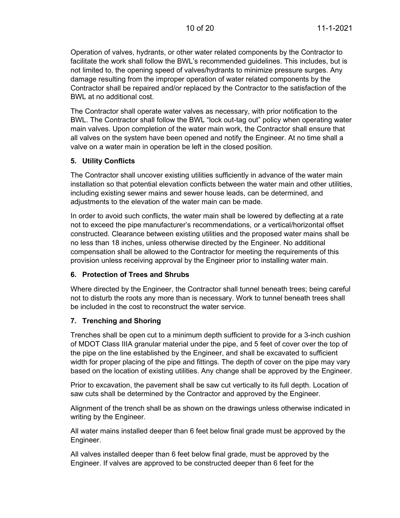Operation of valves, hydrants, or other water related components by the Contractor to facilitate the work shall follow the BWL's recommended guidelines. This includes, but is not limited to, the opening speed of valves/hydrants to minimize pressure surges. Any damage resulting from the improper operation of water related components by the Contractor shall be repaired and/or replaced by the Contractor to the satisfaction of the BWL at no additional cost.

The Contractor shall operate water valves as necessary, with prior notification to the BWL. The Contractor shall follow the BWL "lock out-tag out" policy when operating water main valves. Upon completion of the water main work, the Contractor shall ensure that all valves on the system have been opened and notify the Engineer. At no time shall a valve on a water main in operation be left in the closed position.

#### <span id="page-12-0"></span>**5. Utility Conflicts**

The Contractor shall uncover existing utilities sufficiently in advance of the water main installation so that potential elevation conflicts between the water main and other utilities, including existing sewer mains and sewer house leads, can be determined, and adjustments to the elevation of the water main can be made.

In order to avoid such conflicts, the water main shall be lowered by deflecting at a rate not to exceed the pipe manufacturer's recommendations, or a vertical/horizontal offset constructed. Clearance between existing utilities and the proposed water mains shall be no less than 18 inches, unless otherwise directed by the Engineer. No additional compensation shall be allowed to the Contractor for meeting the requirements of this provision unless receiving approval by the Engineer prior to installing water main.

# <span id="page-12-1"></span>**6. Protection of Trees and Shrubs**

Where directed by the Engineer, the Contractor shall tunnel beneath trees; being careful not to disturb the roots any more than is necessary. Work to tunnel beneath trees shall be included in the cost to reconstruct the water service.

# <span id="page-12-2"></span>**7. Trenching and Shoring**

Trenches shall be open cut to a minimum depth sufficient to provide for a 3-inch cushion of MDOT Class IIIA granular material under the pipe, and 5 feet of cover over the top of the pipe on the line established by the Engineer, and shall be excavated to sufficient width for proper placing of the pipe and fittings. The depth of cover on the pipe may vary based on the location of existing utilities. Any change shall be approved by the Engineer.

Prior to excavation, the pavement shall be saw cut vertically to its full depth. Location of saw cuts shall be determined by the Contractor and approved by the Engineer.

Alignment of the trench shall be as shown on the drawings unless otherwise indicated in writing by the Engineer.

All water mains installed deeper than 6 feet below final grade must be approved by the Engineer.

All valves installed deeper than 6 feet below final grade, must be approved by the Engineer. If valves are approved to be constructed deeper than 6 feet for the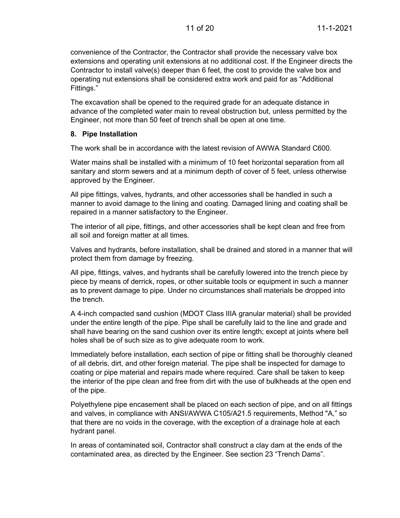convenience of the Contractor, the Contractor shall provide the necessary valve box extensions and operating unit extensions at no additional cost. If the Engineer directs the Contractor to install valve(s) deeper than 6 feet, the cost to provide the valve box and operating nut extensions shall be considered extra work and paid for as "Additional Fittings."

The excavation shall be opened to the required grade for an adequate distance in advance of the completed water main to reveal obstruction but, unless permitted by the Engineer, not more than 50 feet of trench shall be open at one time.

#### <span id="page-13-0"></span>**8. Pipe Installation**

The work shall be in accordance with the latest revision of AWWA Standard C600.

Water mains shall be installed with a minimum of 10 feet horizontal separation from all sanitary and storm sewers and at a minimum depth of cover of 5 feet, unless otherwise approved by the Engineer.

All pipe fittings, valves, hydrants, and other accessories shall be handled in such a manner to avoid damage to the lining and coating. Damaged lining and coating shall be repaired in a manner satisfactory to the Engineer.

The interior of all pipe, fittings, and other accessories shall be kept clean and free from all soil and foreign matter at all times.

Valves and hydrants, before installation, shall be drained and stored in a manner that will protect them from damage by freezing.

All pipe, fittings, valves, and hydrants shall be carefully lowered into the trench piece by piece by means of derrick, ropes, or other suitable tools or equipment in such a manner as to prevent damage to pipe. Under no circumstances shall materials be dropped into the trench.

A 4-inch compacted sand cushion (MDOT Class IIIA granular material) shall be provided under the entire length of the pipe. Pipe shall be carefully laid to the line and grade and shall have bearing on the sand cushion over its entire length; except at joints where bell holes shall be of such size as to give adequate room to work.

Immediately before installation, each section of pipe or fitting shall be thoroughly cleaned of all debris, dirt, and other foreign material. The pipe shall be inspected for damage to coating or pipe material and repairs made where required. Care shall be taken to keep the interior of the pipe clean and free from dirt with the use of bulkheads at the open end of the pipe.

Polyethylene pipe encasement shall be placed on each section of pipe, and on all fittings and valves, in compliance with ANSI/AWWA C105/A21.5 requirements, Method "A," so that there are no voids in the coverage, with the exception of a drainage hole at each hydrant panel.

In areas of contaminated soil, Contractor shall construct a clay dam at the ends of the contaminated area, as directed by the Engineer. See section 23 "Trench Dams".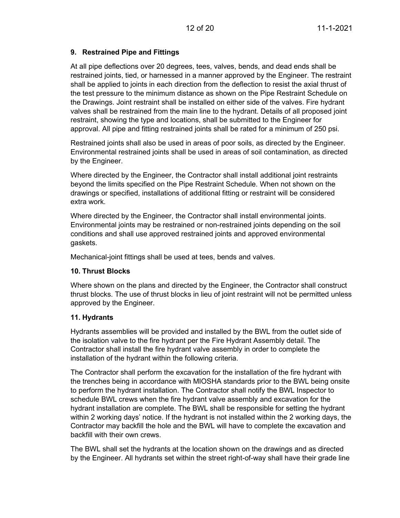# <span id="page-14-0"></span>**9. Restrained Pipe and Fittings**

At all pipe deflections over 20 degrees, tees, valves, bends, and dead ends shall be restrained joints, tied, or harnessed in a manner approved by the Engineer. The restraint shall be applied to joints in each direction from the deflection to resist the axial thrust of the test pressure to the minimum distance as shown on the Pipe Restraint Schedule on the Drawings. Joint restraint shall be installed on either side of the valves. Fire hydrant valves shall be restrained from the main line to the hydrant. Details of all proposed joint restraint, showing the type and locations, shall be submitted to the Engineer for approval. All pipe and fitting restrained joints shall be rated for a minimum of 250 psi.

Restrained joints shall also be used in areas of poor soils, as directed by the Engineer. Environmental restrained joints shall be used in areas of soil contamination, as directed by the Engineer.

Where directed by the Engineer, the Contractor shall install additional joint restraints beyond the limits specified on the Pipe Restraint Schedule. When not shown on the drawings or specified, installations of additional fitting or restraint will be considered extra work.

Where directed by the Engineer, the Contractor shall install environmental joints. Environmental joints may be restrained or non-restrained joints depending on the soil conditions and shall use approved restrained joints and approved environmental gaskets.

Mechanical-joint fittings shall be used at tees, bends and valves.

# <span id="page-14-1"></span>**10. Thrust Blocks**

Where shown on the plans and directed by the Engineer, the Contractor shall construct thrust blocks. The use of thrust blocks in lieu of joint restraint will not be permitted unless approved by the Engineer.

#### <span id="page-14-2"></span>**11. Hydrants**

Hydrants assemblies will be provided and installed by the BWL from the outlet side of the isolation valve to the fire hydrant per the Fire Hydrant Assembly detail. The Contractor shall install the fire hydrant valve assembly in order to complete the installation of the hydrant within the following criteria.

The Contractor shall perform the excavation for the installation of the fire hydrant with the trenches being in accordance with MIOSHA standards prior to the BWL being onsite to perform the hydrant installation. The Contractor shall notify the BWL Inspector to schedule BWL crews when the fire hydrant valve assembly and excavation for the hydrant installation are complete. The BWL shall be responsible for setting the hydrant within 2 working days' notice. If the hydrant is not installed within the 2 working days, the Contractor may backfill the hole and the BWL will have to complete the excavation and backfill with their own crews.

The BWL shall set the hydrants at the location shown on the drawings and as directed by the Engineer. All hydrants set within the street right-of-way shall have their grade line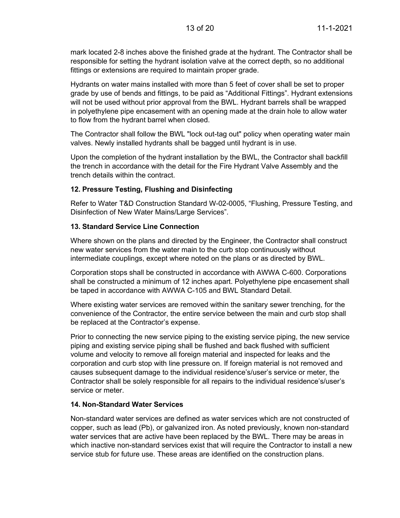mark located 2-8 inches above the finished grade at the hydrant. The Contractor shall be responsible for setting the hydrant isolation valve at the correct depth, so no additional fittings or extensions are required to maintain proper grade.

Hydrants on water mains installed with more than 5 feet of cover shall be set to proper grade by use of bends and fittings, to be paid as "Additional Fittings". Hydrant extensions will not be used without prior approval from the BWL. Hydrant barrels shall be wrapped in polyethylene pipe encasement with an opening made at the drain hole to allow water to flow from the hydrant barrel when closed.

The Contractor shall follow the BWL "lock out-tag out" policy when operating water main valves. Newly installed hydrants shall be bagged until hydrant is in use.

Upon the completion of the hydrant installation by the BWL, the Contractor shall backfill the trench in accordance with the detail for the Fire Hydrant Valve Assembly and the trench details within the contract.

#### <span id="page-15-0"></span>**12. Pressure Testing, Flushing and Disinfecting**

Refer to Water T&D Construction Standard W-02-0005, "Flushing, Pressure Testing, and Disinfection of New Water Mains/Large Services".

#### <span id="page-15-1"></span>**13. Standard Service Line Connection**

Where shown on the plans and directed by the Engineer, the Contractor shall construct new water services from the water main to the curb stop continuously without intermediate couplings, except where noted on the plans or as directed by BWL.

Corporation stops shall be constructed in accordance with AWWA C-600. Corporations shall be constructed a minimum of 12 inches apart. Polyethylene pipe encasement shall be taped in accordance with AWWA C-105 and BWL Standard Detail.

Where existing water services are removed within the sanitary sewer trenching, for the convenience of the Contractor, the entire service between the main and curb stop shall be replaced at the Contractor's expense.

Prior to connecting the new service piping to the existing service piping, the new service piping and existing service piping shall be flushed and back flushed with sufficient volume and velocity to remove all foreign material and inspected for leaks and the corporation and curb stop with line pressure on. If foreign material is not removed and causes subsequent damage to the individual residence's/user's service or meter, the Contractor shall be solely responsible for all repairs to the individual residence's/user's service or meter.

#### <span id="page-15-2"></span>**14. Non-Standard Water Services**

Non-standard water services are defined as water services which are not constructed of copper, such as lead (Pb), or galvanized iron. As noted previously, known non-standard water services that are active have been replaced by the BWL. There may be areas in which inactive non-standard services exist that will require the Contractor to install a new service stub for future use. These areas are identified on the construction plans.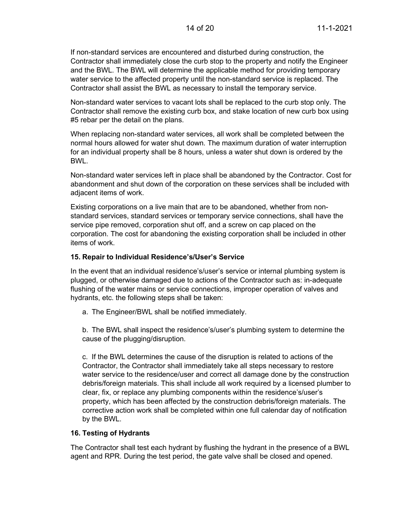If non-standard services are encountered and disturbed during construction, the Contractor shall immediately close the curb stop to the property and notify the Engineer and the BWL. The BWL will determine the applicable method for providing temporary water service to the affected property until the non-standard service is replaced. The Contractor shall assist the BWL as necessary to install the temporary service.

Non-standard water services to vacant lots shall be replaced to the curb stop only. The Contractor shall remove the existing curb box, and stake location of new curb box using #5 rebar per the detail on the plans.

When replacing non-standard water services, all work shall be completed between the normal hours allowed for water shut down. The maximum duration of water interruption for an individual property shall be 8 hours, unless a water shut down is ordered by the BWL.

Non-standard water services left in place shall be abandoned by the Contractor. Cost for abandonment and shut down of the corporation on these services shall be included with adjacent items of work.

Existing corporations on a live main that are to be abandoned, whether from nonstandard services, standard services or temporary service connections, shall have the service pipe removed, corporation shut off, and a screw on cap placed on the corporation. The cost for abandoning the existing corporation shall be included in other items of work.

#### <span id="page-16-0"></span>**15. Repair to Individual Residence's/User's Service**

In the event that an individual residence's/user's service or internal plumbing system is plugged, or otherwise damaged due to actions of the Contractor such as: in-adequate flushing of the water mains or service connections, improper operation of valves and hydrants, etc. the following steps shall be taken:

a. The Engineer/BWL shall be notified immediately.

b. The BWL shall inspect the residence's/user's plumbing system to determine the cause of the plugging/disruption.

c. If the BWL determines the cause of the disruption is related to actions of the Contractor, the Contractor shall immediately take all steps necessary to restore water service to the residence/user and correct all damage done by the construction debris/foreign materials. This shall include all work required by a licensed plumber to clear, fix, or replace any plumbing components within the residence's/user's property, which has been affected by the construction debris/foreign materials. The corrective action work shall be completed within one full calendar day of notification by the BWL.

#### <span id="page-16-1"></span>**16. Testing of Hydrants**

The Contractor shall test each hydrant by flushing the hydrant in the presence of a BWL agent and RPR. During the test period, the gate valve shall be closed and opened.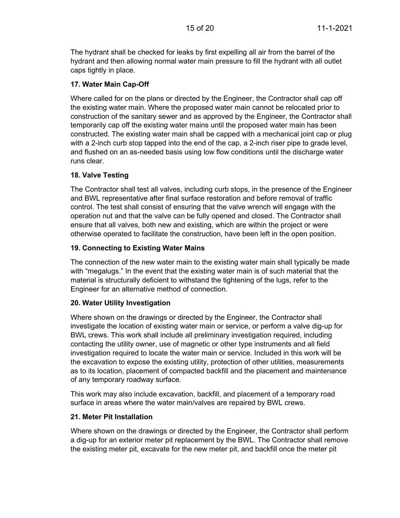The hydrant shall be checked for leaks by first expelling all air from the barrel of the hydrant and then allowing normal water main pressure to fill the hydrant with all outlet caps tightly in place.

# <span id="page-17-0"></span>**17. Water Main Cap-Off**

Where called for on the plans or directed by the Engineer, the Contractor shall cap off the existing water main. Where the proposed water main cannot be relocated prior to construction of the sanitary sewer and as approved by the Engineer, the Contractor shall temporarily cap off the existing water mains until the proposed water main has been constructed. The existing water main shall be capped with a mechanical joint cap or plug with a 2-inch curb stop tapped into the end of the cap, a 2-inch riser pipe to grade level, and flushed on an as-needed basis using low flow conditions until the discharge water runs clear.

# <span id="page-17-1"></span>**18. Valve Testing**

The Contractor shall test all valves, including curb stops, in the presence of the Engineer and BWL representative after final surface restoration and before removal of traffic control. The test shall consist of ensuring that the valve wrench will engage with the operation nut and that the valve can be fully opened and closed. The Contractor shall ensure that all valves, both new and existing, which are within the project or were otherwise operated to facilitate the construction, have been left in the open position.

# <span id="page-17-2"></span>**19. Connecting to Existing Water Mains**

The connection of the new water main to the existing water main shall typically be made with "megalugs." In the event that the existing water main is of such material that the material is structurally deficient to withstand the tightening of the lugs, refer to the Engineer for an alternative method of connection.

# <span id="page-17-3"></span>**20. Water Utility Investigation**

Where shown on the drawings or directed by the Engineer, the Contractor shall investigate the location of existing water main or service, or perform a valve dig-up for BWL crews. This work shall include all preliminary investigation required, including contacting the utility owner, use of magnetic or other type instruments and all field investigation required to locate the water main or service. Included in this work will be the excavation to expose the existing utility, protection of other utilities, measurements as to its location, placement of compacted backfill and the placement and maintenance of any temporary roadway surface.

This work may also include excavation, backfill, and placement of a temporary road surface in areas where the water main/valves are repaired by BWL crews.

# <span id="page-17-4"></span>**21. Meter Pit Installation**

Where shown on the drawings or directed by the Engineer, the Contractor shall perform a dig-up for an exterior meter pit replacement by the BWL. The Contractor shall remove the existing meter pit, excavate for the new meter pit, and backfill once the meter pit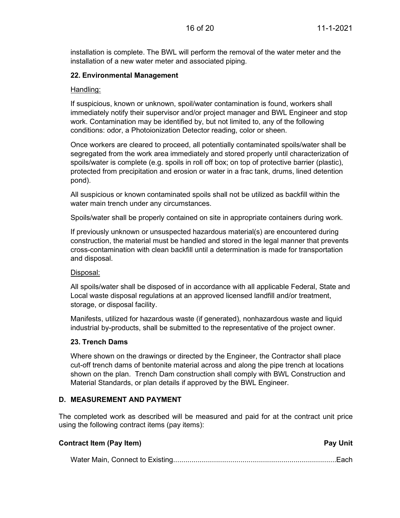installation is complete. The BWL will perform the removal of the water meter and the installation of a new water meter and associated piping.

#### <span id="page-18-0"></span>**22. Environmental Management**

#### Handling:

If suspicious, known or unknown, spoil/water contamination is found, workers shall immediately notify their supervisor and/or project manager and BWL Engineer and stop work. Contamination may be identified by, but not limited to, any of the following conditions: odor, a Photoionization Detector reading, color or sheen.

Once workers are cleared to proceed, all potentially contaminated spoils/water shall be segregated from the work area immediately and stored properly until characterization of spoils/water is complete (e.g. spoils in roll off box; on top of protective barrier (plastic), protected from precipitation and erosion or water in a frac tank, drums, lined detention pond).

All suspicious or known contaminated spoils shall not be utilized as backfill within the water main trench under any circumstances.

Spoils/water shall be properly contained on site in appropriate containers during work.

If previously unknown or unsuspected hazardous material(s) are encountered during construction, the material must be handled and stored in the legal manner that prevents cross-contamination with clean backfill until a determination is made for transportation and disposal.

#### Disposal:

All spoils/water shall be disposed of in accordance with all applicable Federal, State and Local waste disposal regulations at an approved licensed landfill and/or treatment, storage, or disposal facility.

Manifests, utilized for hazardous waste (if generated), nonhazardous waste and liquid industrial by-products, shall be submitted to the representative of the project owner.

#### <span id="page-18-1"></span>**23. Trench Dams**

Where shown on the drawings or directed by the Engineer, the Contractor shall place cut-off trench dams of bentonite material across and along the pipe trench at locations shown on the plan. Trench Dam construction shall comply with BWL Construction and Material Standards, or plan details if approved by the BWL Engineer.

#### <span id="page-18-2"></span>**D. MEASUREMENT AND PAYMENT**

The completed work as described will be measured and paid for at the contract unit price using the following contract items (pay items):

| <b>Contract Item (Pay Item)</b> | <b>Pay Unit</b> |
|---------------------------------|-----------------|
|                                 |                 |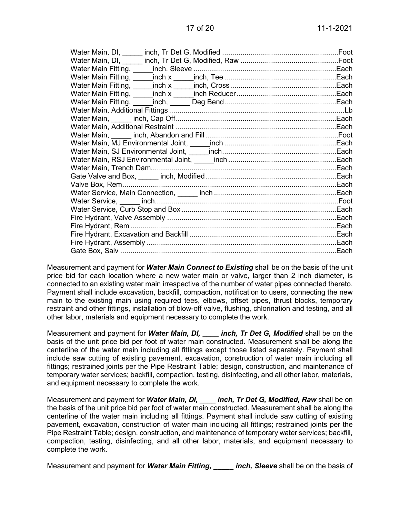| Water Main, DI, _____ |  |
|-----------------------|--|
|                       |  |
| Water Main Fitting,   |  |
|                       |  |
|                       |  |
|                       |  |
|                       |  |
|                       |  |
|                       |  |
|                       |  |
|                       |  |
|                       |  |
|                       |  |
|                       |  |
|                       |  |
|                       |  |
|                       |  |
|                       |  |
|                       |  |
|                       |  |
|                       |  |
|                       |  |
|                       |  |
|                       |  |
|                       |  |
|                       |  |

Measurement and payment for *Water Main Connect to Existing* shall be on the basis of the unit price bid for each location where a new water main or valve, larger than 2 inch diameter, is connected to an existing water main irrespective of the number of water pipes connected thereto. Payment shall include excavation, backfill, compaction, notification to users, connecting the new main to the existing main using required tees, elbows, offset pipes, thrust blocks, temporary restraint and other fittings, installation of blow-off valve, flushing, chlorination and testing, and all other labor, materials and equipment necessary to complete the work.

Measurement and payment for *Water Main, DI, \_\_\_\_ inch, Tr Det G, Modified* shall be on the basis of the unit price bid per foot of water main constructed. Measurement shall be along the centerline of the water main including all fittings except those listed separately. Payment shall include saw cutting of existing pavement, excavation, construction of water main including all fittings; restrained joints per the Pipe Restraint Table; design, construction, and maintenance of temporary water services; backfill, compaction, testing, disinfecting, and all other labor, materials, and equipment necessary to complete the work.

Measurement and payment for *Water Main, DI, \_\_\_\_ inch, Tr Det G, Modified, Raw* shall be on the basis of the unit price bid per foot of water main constructed. Measurement shall be along the centerline of the water main including all fittings. Payment shall include saw cutting of existing pavement, excavation, construction of water main including all fittings; restrained joints per the Pipe Restraint Table; design, construction, and maintenance of temporary water services; backfill, compaction, testing, disinfecting, and all other labor, materials, and equipment necessary to complete the work.

Measurement and payment for *Water Main Fitting, \_\_\_\_\_ inch, Sleeve* shall be on the basis of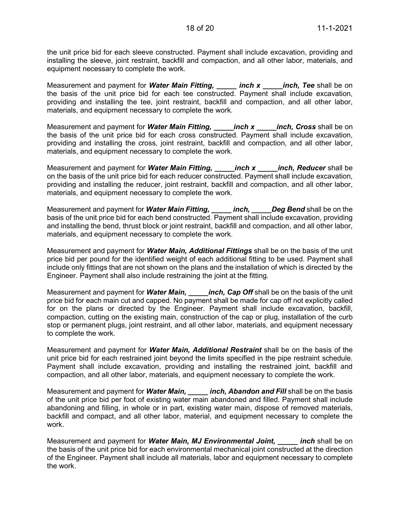the unit price bid for each sleeve constructed. Payment shall include excavation, providing and installing the sleeve, joint restraint, backfill and compaction, and all other labor, materials, and equipment necessary to complete the work.

Measurement and payment for *Water Main Fitting, \_\_\_\_\_ inch x \_\_\_\_\_inch, Tee* shall be on the basis of the unit price bid for each tee constructed. Payment shall include excavation, providing and installing the tee, joint restraint, backfill and compaction, and all other labor, materials, and equipment necessary to complete the work.

Measurement and payment for **Water Main Fitting, Later inch x** *inch***, Cross** shall be on the basis of the unit price bid for each cross constructed. Payment shall include excavation, providing and installing the cross, joint restraint, backfill and compaction, and all other labor, materials, and equipment necessary to complete the work.

Measurement and payment for *Water Main Fitting, \_\_\_\_\_inch x \_\_\_\_\_inch, Reducer* shall be on the basis of the unit price bid for each reducer constructed. Payment shall include excavation, providing and installing the reducer, joint restraint, backfill and compaction, and all other labor, materials, and equipment necessary to complete the work.

Measurement and payment for *Water Main Fitting, \_\_\_\_\_ inch, \_\_\_\_\_Deg Bend* shall be on the basis of the unit price bid for each bend constructed. Payment shall include excavation, providing and installing the bend, thrust block or joint restraint, backfill and compaction, and all other labor, materials, and equipment necessary to complete the work.

Measurement and payment for *Water Main, Additional Fittings* shall be on the basis of the unit price bid per pound for the identified weight of each additional fitting to be used. Payment shall include only fittings that are not shown on the plans and the installation of which is directed by the Engineer. Payment shall also include restraining the joint at the fitting.

Measurement and payment for *Water Main, \_\_\_\_\_inch, Cap Off* shall be on the basis of the unit price bid for each main cut and capped. No payment shall be made for cap off not explicitly called for on the plans or directed by the Engineer. Payment shall include excavation, backfill, compaction, cutting on the existing main, construction of the cap or plug, installation of the curb stop or permanent plugs, joint restraint, and all other labor, materials, and equipment necessary to complete the work.

Measurement and payment for *Water Main, Additional Restraint* shall be on the basis of the unit price bid for each restrained joint beyond the limits specified in the pipe restraint schedule. Payment shall include excavation, providing and installing the restrained joint, backfill and compaction, and all other labor, materials, and equipment necessary to complete the work.

Measurement and payment for **Water Main, excluent and Allah and Fill** shall be on the basis of the unit price bid per foot of existing water main abandoned and filled. Payment shall include abandoning and filling, in whole or in part, existing water main, dispose of removed materials, backfill and compact, and all other labor, material, and equipment necessary to complete the work.

Measurement and payment for *Water Main, MJ Environmental Joint, \_\_\_\_\_ inch* shall be on the basis of the unit price bid for each environmental mechanical joint constructed at the direction of the Engineer. Payment shall include all materials, labor and equipment necessary to complete the work.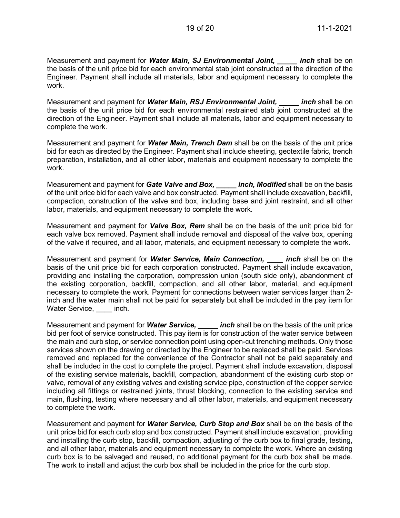Measurement and payment for *Water Main, SJ Environmental Joint, \_\_\_\_\_ inch* shall be on the basis of the unit price bid for each environmental stab joint constructed at the direction of the Engineer. Payment shall include all materials, labor and equipment necessary to complete the work.

Measurement and payment for *Water Main, RSJ Environmental Joint, \_\_\_\_\_ inch* shall be on the basis of the unit price bid for each environmental restrained stab joint constructed at the direction of the Engineer. Payment shall include all materials, labor and equipment necessary to complete the work.

Measurement and payment for *Water Main, Trench Dam* shall be on the basis of the unit price bid for each as directed by the Engineer. Payment shall include sheeting, geotextile fabric, trench preparation, installation, and all other labor, materials and equipment necessary to complete the work.

Measurement and payment for *Gate Valve and Box, \_\_\_\_\_ inch, Modified* shall be on the basis of the unit price bid for each valve and box constructed. Payment shall include excavation, backfill, compaction, construction of the valve and box, including base and joint restraint, and all other labor, materials, and equipment necessary to complete the work.

Measurement and payment for *Valve Box, Rem* shall be on the basis of the unit price bid for each valve box removed. Payment shall include removal and disposal of the valve box, opening of the valve if required, and all labor, materials, and equipment necessary to complete the work.

Measurement and payment for *Water Service, Main Connection, \_\_\_\_ inch* shall be on the basis of the unit price bid for each corporation constructed. Payment shall include excavation, providing and installing the corporation, compression union (south side only), abandonment of the existing corporation, backfill, compaction, and all other labor, material, and equipment necessary to complete the work. Payment for connections between water services larger than 2 inch and the water main shall not be paid for separately but shall be included in the pay item for Water Service, inch.

Measurement and payment for *Water Service, \_\_\_\_\_ inch* shall be on the basis of the unit price bid per foot of service constructed. This pay item is for construction of the water service between the main and curb stop, or service connection point using open-cut trenching methods. Only those services shown on the drawing or directed by the Engineer to be replaced shall be paid. Services removed and replaced for the convenience of the Contractor shall not be paid separately and shall be included in the cost to complete the project. Payment shall include excavation, disposal of the existing service materials, backfill, compaction, abandonment of the existing curb stop or valve, removal of any existing valves and existing service pipe, construction of the copper service including all fittings or restrained joints, thrust blocking, connection to the existing service and main, flushing, testing where necessary and all other labor, materials, and equipment necessary to complete the work.

Measurement and payment for *Water Service, Curb Stop and Box* shall be on the basis of the unit price bid for each curb stop and box constructed. Payment shall include excavation, providing and installing the curb stop, backfill, compaction, adjusting of the curb box to final grade, testing, and all other labor, materials and equipment necessary to complete the work. Where an existing curb box is to be salvaged and reused, no additional payment for the curb box shall be made. The work to install and adjust the curb box shall be included in the price for the curb stop.